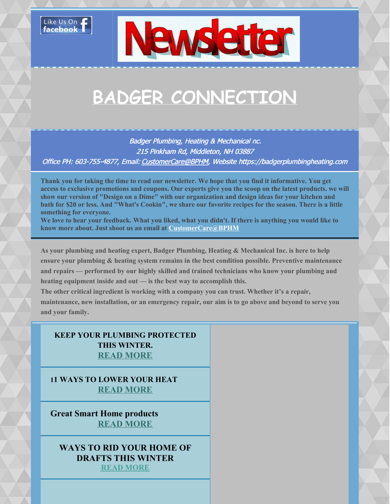



# **BADGER CONNECTION**

Badger Plumbing, Heating & Mechanical nc. 215 Pinkham Rd, Middleton, NH 03887 Office PH: 603-755-4877, Email: [CustomerCare@BPHM](mailto:customercare@badgerplumbingheating.com), Website https://badgerplumbingheating.com

Thank you for taking the time to read our newsletter. We hope that you find it informative. You get access to exclusive promotions and coupons. Our experts give you the scoop on the latest products. we will **show our version of "Design on a Dime" with our organization and design ideas for your kitchen and** bath for \$20 or less. And "What's Cookin", we share our favorite recipes for the season. There is a little **something for everyone.**

We love to hear your feedback. What you liked, what you didn't. If there is anything you would like to **know more about. Just shoot us an email at [CustomerCare@BPHM](mailto:customercare@badgerplumbingheating.com)**

**As your plumbing and heating expert, Badger Plumbing, Heating & Mechanical Inc. is here to help ensure your plumbing & heating system remains in the best condition possible. Preventive maintenance and repairs — performed by our highly skilled and trained technicians who know your plumbing and heating equipment inside and out — is the best way to accomplish this.**

**The other critical ingredient is working with a company you can trust. Whether it's a repair,** maintenance, new installation, or an emergency repair, our aim is to go above and beyond to serve you **and your family.**

#### **KEEP YOUR PLUMBING PROTECTED THIS WINTER. READ [MORE](https://files.constantcontact.com/4467a6b2801/e7f74c00-0e91-4522-8b28-3c80d3f9d29a.pdf)**

**11 WAYS TO LOWER YOUR HEAT READ [MORE](https://files.constantcontact.com/4467a6b2801/19a12a7e-a682-4f7a-8ce2-cdf96f55c8f2.pdf)**

**Great Smart Home products READ [MORE](https://files.constantcontact.com/4467a6b2801/8d271684-3be7-45b5-95ff-8daa31352c79.pdf)**

**WAYS TO RID YOUR HOME OF DRAFTS THIS WINTER READ [MORE](https://files.constantcontact.com/4467a6b2801/c1a51e85-655f-4015-9b8c-ca40d9a48a7e.pdf)**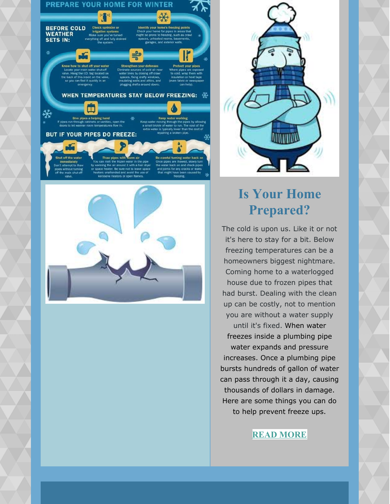





### **Is Your Home Prepared?**

The cold is upon us. Like it or not it's here to stay for a bit. Below freezing temperatures can be a homeowners biggest nightmare. Coming home to a waterlogged house due to frozen pipes that had burst. Dealing with the clean up can be costly, not to mention you are without a water supply until it's fixed. When water freezes inside a plumbing pipe water expands and pressure increases. Once a plumbing pipe bursts hundreds of gallon of water can pass through it a day, causing thousands of dollars in damage. Here are some things you can do to help prevent freeze ups.

#### **READ [MORE](https://files.constantcontact.com/4467a6b2801/e7f74c00-0e91-4522-8b28-3c80d3f9d29a.pdf)**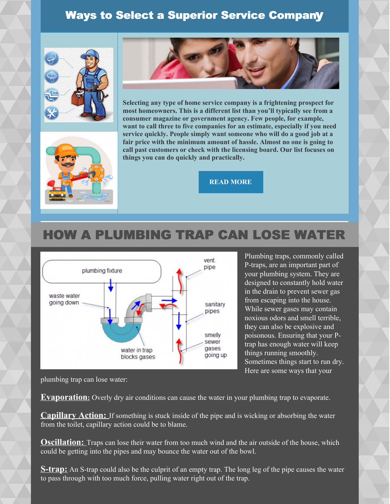#### Ways to Select a Superior Service Company







**Selecting any type of home service company is a frightening prospect for most homeowners. This is a different list than you'll typically see from a consumer magazine or government agency. Few people, for example, want to call three to five companies for an estimate, especially if you need service quickly. People simply want someone who will do a good job at a fair price with the minimum amount of hassle. Almost no one is going to call past customers or check with the licensing board. Our list focuses on things you can do quickly and practically.**

**READ [MORE](https://files.constantcontact.com/4467a6b2801/f2c47256-efe5-4c6c-93b7-b9bcba67c1b3.pdf)**

### HOW A PLUMBING TRAP CAN LOSE WATER



Plumbing traps, commonly called P-traps, are an important part of your plumbing system. They are designed to constantly hold water in the drain to prevent sewer gas from escaping into the house. While sewer gases may contain noxious odors and smell terrible, they can also be explosive and poisonous. Ensuring that your Ptrap has enough water will keep things running smoothly. Sometimes things start to run dry. Here are some ways that your

plumbing trap can lose water:

**Evaporation:** Overly dry air conditions can cause the water in your plumbing trap to evaporate.

**Capillary Action:** If something is stuck inside of the pipe and is wicking or absorbing the water from the toilet, capillary action could be to blame.

**Oscillation:** Traps can lose their water from too much wind and the air outside of the house, which could be getting into the pipes and may bounce the water out of the bowl.

**S-trap:** An S-trap could also be the culprit of an empty trap. The long leg of the pipe causes the water to pass through with too much force, pulling water right out of the trap.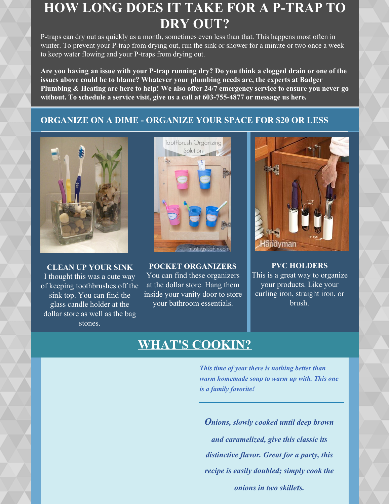### **HOW LONG DOES IT TAKE FOR A P-TRAP TO DRY OUT?**

P-traps can dry out as quickly as a month, sometimes even less than that. This happens most often in winter. To prevent your P-trap from drying out, run the sink or shower for a minute or two once a week to keep water flowing and your P-traps from drying out.

Are you having an issue with your P-trap running dry? Do you think a clogged drain or one of the **issues above could be to blame? Whatever your plumbing needs are, the experts at Badger Plumbing & Heating are here to help! We also offer 24/7 emergency service to ensure you never go without. To schedule a service visit, give us a call at 603-755-4877 or message us here.**

#### **ORGANIZE ON A DIME - ORGANIZE YOUR SPACE FOR \$20 OR LESS**



**CLEAN UP YOUR SINK** I thought this was a cute way of keeping toothbrushes off the sink top. You can find the glass candle holder at the dollar store as well as the bag stones.



**POCKET ORGANIZERS** You can find these organizers at the dollar store. Hang them inside your vanity door to store your bathroom essentials.



**PVC HOLDERS** This is a great way to organize your products. Like your curling iron, straight iron, or brush.

### **WHAT'S COOKIN?**

*This time of year there is nothing better than warm homemade soup to warm up with. This one is a family favorite!*

*Onions, slowly cooked until deep brown and caramelized, give this classic its distinctive flavor. Great for a party, this recipe is easily doubled; simply cook the onions in two skillets.*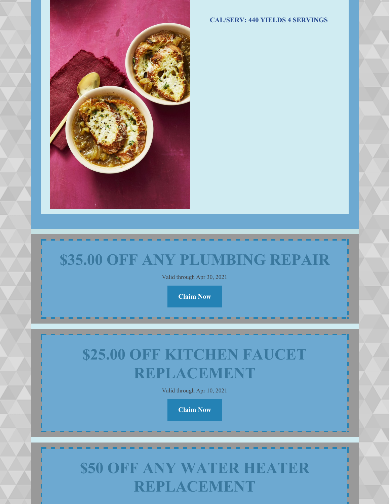**CAL/SERV: 440 YIELDS 4 SERVINGS**



# **\$35.00 OFF ANY PLUMBING REPAIR**

Valid through Apr 30, 2021

**[Claim](https://campaignlp.constantcontact.com/abcoupon/claim/e6006ccf-ddcd-45a5-b5cb-1053d145f9c3?c=) Now**

# **\$25.00 OFF KITCHEN FAUCET REPLACEMENT**

Valid through Apr 10, 2021

**[Claim](https://campaignlp.constantcontact.com/abcoupon/claim/5462bb87-d8b9-45cb-b637-8047d010e7f0?c=) Now**

## **\$50 OFF ANY WATER HEATER REPLACEMENT**